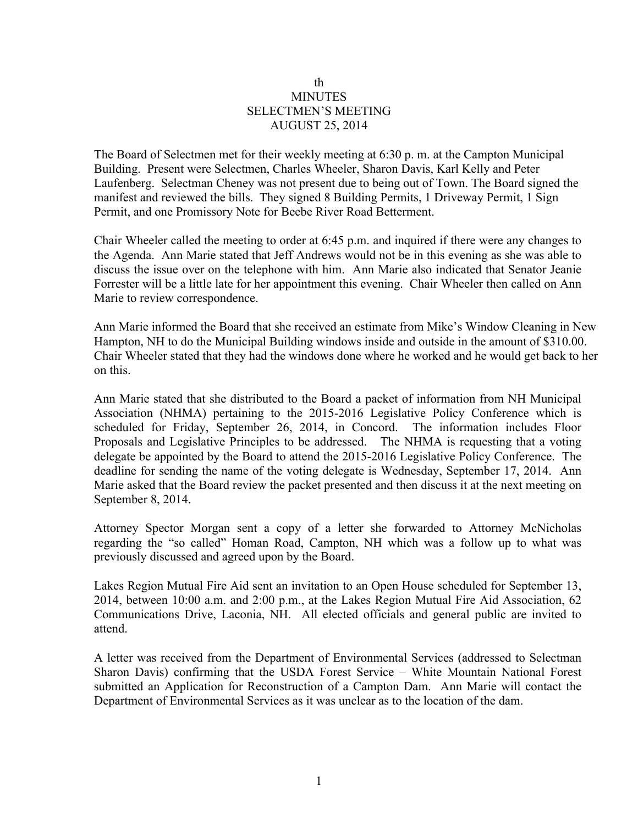## th **MINUTES** SELECTMEN'S MEETING AUGUST 25, 2014

The Board of Selectmen met for their weekly meeting at 6:30 p. m. at the Campton Municipal Building. Present were Selectmen, Charles Wheeler, Sharon Davis, Karl Kelly and Peter Laufenberg. Selectman Cheney was not present due to being out of Town. The Board signed the manifest and reviewed the bills. They signed 8 Building Permits, 1 Driveway Permit, 1 Sign Permit, and one Promissory Note for Beebe River Road Betterment.

Chair Wheeler called the meeting to order at 6:45 p.m. and inquired if there were any changes to the Agenda. Ann Marie stated that Jeff Andrews would not be in this evening as she was able to discuss the issue over on the telephone with him. Ann Marie also indicated that Senator Jeanie Forrester will be a little late for her appointment this evening. Chair Wheeler then called on Ann Marie to review correspondence.

Ann Marie informed the Board that she received an estimate from Mike's Window Cleaning in New Hampton, NH to do the Municipal Building windows inside and outside in the amount of \$310.00. Chair Wheeler stated that they had the windows done where he worked and he would get back to her on this.

Ann Marie stated that she distributed to the Board a packet of information from NH Municipal Association (NHMA) pertaining to the 2015-2016 Legislative Policy Conference which is scheduled for Friday, September 26, 2014, in Concord. The information includes Floor Proposals and Legislative Principles to be addressed. The NHMA is requesting that a voting delegate be appointed by the Board to attend the 2015-2016 Legislative Policy Conference. The deadline for sending the name of the voting delegate is Wednesday, September 17, 2014. Ann Marie asked that the Board review the packet presented and then discuss it at the next meeting on September 8, 2014.

Attorney Spector Morgan sent a copy of a letter she forwarded to Attorney McNicholas regarding the "so called" Homan Road, Campton, NH which was a follow up to what was previously discussed and agreed upon by the Board.

Lakes Region Mutual Fire Aid sent an invitation to an Open House scheduled for September 13, 2014, between 10:00 a.m. and 2:00 p.m., at the Lakes Region Mutual Fire Aid Association, 62 Communications Drive, Laconia, NH. All elected officials and general public are invited to attend.

A letter was received from the Department of Environmental Services (addressed to Selectman Sharon Davis) confirming that the USDA Forest Service – White Mountain National Forest submitted an Application for Reconstruction of a Campton Dam. Ann Marie will contact the Department of Environmental Services as it was unclear as to the location of the dam.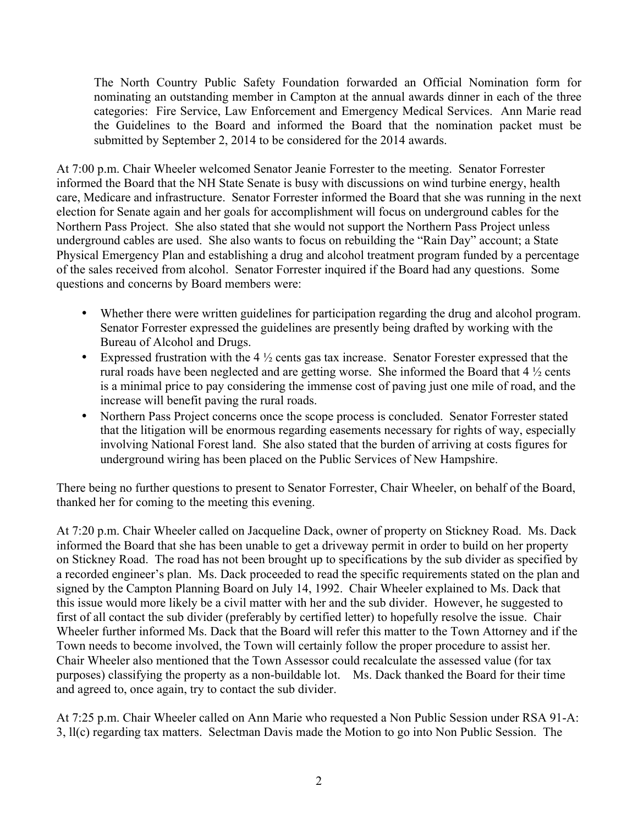The North Country Public Safety Foundation forwarded an Official Nomination form for nominating an outstanding member in Campton at the annual awards dinner in each of the three categories: Fire Service, Law Enforcement and Emergency Medical Services. Ann Marie read the Guidelines to the Board and informed the Board that the nomination packet must be submitted by September 2, 2014 to be considered for the 2014 awards.

At 7:00 p.m. Chair Wheeler welcomed Senator Jeanie Forrester to the meeting. Senator Forrester informed the Board that the NH State Senate is busy with discussions on wind turbine energy, health care, Medicare and infrastructure. Senator Forrester informed the Board that she was running in the next election for Senate again and her goals for accomplishment will focus on underground cables for the Northern Pass Project. She also stated that she would not support the Northern Pass Project unless underground cables are used. She also wants to focus on rebuilding the "Rain Day" account; a State Physical Emergency Plan and establishing a drug and alcohol treatment program funded by a percentage of the sales received from alcohol. Senator Forrester inquired if the Board had any questions. Some questions and concerns by Board members were:

- Whether there were written guidelines for participation regarding the drug and alcohol program. Senator Forrester expressed the guidelines are presently being drafted by working with the Bureau of Alcohol and Drugs.
- Expressed frustration with the  $4\frac{1}{2}$  cents gas tax increase. Senator Forester expressed that the rural roads have been neglected and are getting worse. She informed the Board that 4 ½ cents is a minimal price to pay considering the immense cost of paving just one mile of road, and the increase will benefit paving the rural roads.
- Northern Pass Project concerns once the scope process is concluded. Senator Forrester stated that the litigation will be enormous regarding easements necessary for rights of way, especially involving National Forest land. She also stated that the burden of arriving at costs figures for underground wiring has been placed on the Public Services of New Hampshire.

There being no further questions to present to Senator Forrester, Chair Wheeler, on behalf of the Board, thanked her for coming to the meeting this evening.

At 7:20 p.m. Chair Wheeler called on Jacqueline Dack, owner of property on Stickney Road. Ms. Dack informed the Board that she has been unable to get a driveway permit in order to build on her property on Stickney Road. The road has not been brought up to specifications by the sub divider as specified by a recorded engineer's plan. Ms. Dack proceeded to read the specific requirements stated on the plan and signed by the Campton Planning Board on July 14, 1992. Chair Wheeler explained to Ms. Dack that this issue would more likely be a civil matter with her and the sub divider. However, he suggested to first of all contact the sub divider (preferably by certified letter) to hopefully resolve the issue. Chair Wheeler further informed Ms. Dack that the Board will refer this matter to the Town Attorney and if the Town needs to become involved, the Town will certainly follow the proper procedure to assist her. Chair Wheeler also mentioned that the Town Assessor could recalculate the assessed value (for tax purposes) classifying the property as a non-buildable lot. Ms. Dack thanked the Board for their time and agreed to, once again, try to contact the sub divider.

At 7:25 p.m. Chair Wheeler called on Ann Marie who requested a Non Public Session under RSA 91-A: 3, ll(c) regarding tax matters. Selectman Davis made the Motion to go into Non Public Session. The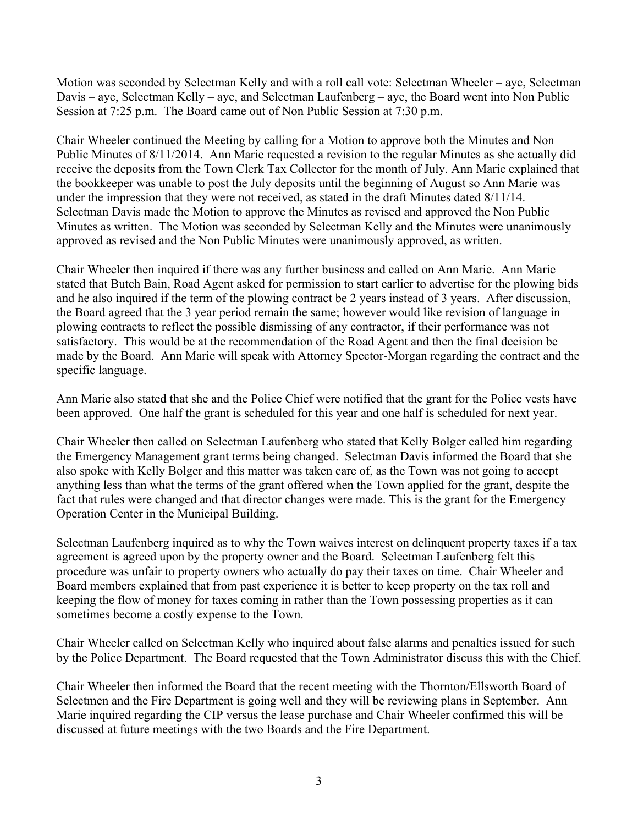Motion was seconded by Selectman Kelly and with a roll call vote: Selectman Wheeler – aye, Selectman Davis – aye, Selectman Kelly – aye, and Selectman Laufenberg – aye, the Board went into Non Public Session at 7:25 p.m. The Board came out of Non Public Session at 7:30 p.m.

Chair Wheeler continued the Meeting by calling for a Motion to approve both the Minutes and Non Public Minutes of 8/11/2014. Ann Marie requested a revision to the regular Minutes as she actually did receive the deposits from the Town Clerk Tax Collector for the month of July. Ann Marie explained that the bookkeeper was unable to post the July deposits until the beginning of August so Ann Marie was under the impression that they were not received, as stated in the draft Minutes dated 8/11/14. Selectman Davis made the Motion to approve the Minutes as revised and approved the Non Public Minutes as written. The Motion was seconded by Selectman Kelly and the Minutes were unanimously approved as revised and the Non Public Minutes were unanimously approved, as written.

Chair Wheeler then inquired if there was any further business and called on Ann Marie. Ann Marie stated that Butch Bain, Road Agent asked for permission to start earlier to advertise for the plowing bids and he also inquired if the term of the plowing contract be 2 years instead of 3 years. After discussion, the Board agreed that the 3 year period remain the same; however would like revision of language in plowing contracts to reflect the possible dismissing of any contractor, if their performance was not satisfactory. This would be at the recommendation of the Road Agent and then the final decision be made by the Board. Ann Marie will speak with Attorney Spector-Morgan regarding the contract and the specific language.

Ann Marie also stated that she and the Police Chief were notified that the grant for the Police vests have been approved. One half the grant is scheduled for this year and one half is scheduled for next year.

Chair Wheeler then called on Selectman Laufenberg who stated that Kelly Bolger called him regarding the Emergency Management grant terms being changed. Selectman Davis informed the Board that she also spoke with Kelly Bolger and this matter was taken care of, as the Town was not going to accept anything less than what the terms of the grant offered when the Town applied for the grant, despite the fact that rules were changed and that director changes were made. This is the grant for the Emergency Operation Center in the Municipal Building.

Selectman Laufenberg inquired as to why the Town waives interest on delinquent property taxes if a tax agreement is agreed upon by the property owner and the Board. Selectman Laufenberg felt this procedure was unfair to property owners who actually do pay their taxes on time. Chair Wheeler and Board members explained that from past experience it is better to keep property on the tax roll and keeping the flow of money for taxes coming in rather than the Town possessing properties as it can sometimes become a costly expense to the Town.

Chair Wheeler called on Selectman Kelly who inquired about false alarms and penalties issued for such by the Police Department. The Board requested that the Town Administrator discuss this with the Chief.

Chair Wheeler then informed the Board that the recent meeting with the Thornton/Ellsworth Board of Selectmen and the Fire Department is going well and they will be reviewing plans in September. Ann Marie inquired regarding the CIP versus the lease purchase and Chair Wheeler confirmed this will be discussed at future meetings with the two Boards and the Fire Department.